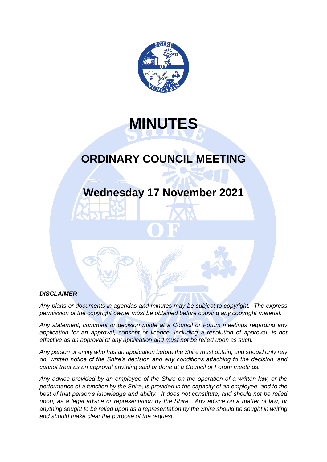

**MINUTES**

# **ORDINARY COUNCIL MEETING**

# **Wednesday 17 November 2021**

# *DISCLAIMER*

*Any plans or documents in agendas and minutes may be subject to copyright. The express permission of the copyright owner must be obtained before copying any copyright material.*

*Any statement, comment or decision made at a Council or Forum meetings regarding any*  application for an approval, consent or licence, including a resolution of approval, is not *effective as an approval of any application and must not be relied upon as such.*

*Any person or entity who has an application before the Shire must obtain, and should only rely on, written notice of the Shire's decision and any conditions attaching to the decision, and cannot treat as an approval anything said or done at a Council or Forum meetings.*

*Any advice provided by an employee of the Shire on the operation of a written law, or the performance of a function by the Shire, is provided in the capacity of an employee, and to the best of that person's knowledge and ability. It does not constitute, and should not be relied upon, as a legal advice or representation by the Shire. Any advice on a matter of law, or anything sought to be relied upon as a representation by the Shire should be sought in writing and should make clear the purpose of the request.*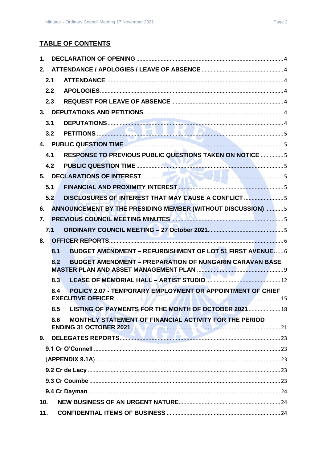# **TABLE OF CONTENTS**

| 1.  |     |                                                                                                                      |  |
|-----|-----|----------------------------------------------------------------------------------------------------------------------|--|
| 2.  |     |                                                                                                                      |  |
|     | 2.1 |                                                                                                                      |  |
|     | 2.2 |                                                                                                                      |  |
|     | 2.3 |                                                                                                                      |  |
|     |     |                                                                                                                      |  |
|     | 3.1 | DEPUTATIONS                                                                                                          |  |
|     | 3.2 | PETITIONS                                                                                                            |  |
|     |     |                                                                                                                      |  |
|     | 4.1 | <b>RESPONSE TO PREVIOUS PUBLIC QUESTIONS TAKEN ON NOTICE 5</b>                                                       |  |
|     | 4.2 |                                                                                                                      |  |
|     |     |                                                                                                                      |  |
|     | 5.1 |                                                                                                                      |  |
|     | 5.2 | DISCLOSURES OF INTEREST THAT MAY CAUSE A CONFLICT 5                                                                  |  |
| 6.  |     | ANNOUNCEMENT BY THE PRESIDING MEMBER (WITHOUT DISCUSSION)  5                                                         |  |
| 7.  |     | PREVIOUS COUNCIL MEETING MINUTES <b>AND ALL CONTINUES</b> 5                                                          |  |
|     | 7.1 |                                                                                                                      |  |
| 8.  |     |                                                                                                                      |  |
|     | 8.1 | <b>BUDGET AMENDMENT - REFURBISHMENT OF LOT 51 FIRST AVENUE 6</b>                                                     |  |
|     | 8.2 | <b>BUDGET AMENDMENT - PREPARATION OF NUNGARIN CARAVAN BASE</b>                                                       |  |
|     | 8.3 | v.                                                                                                                   |  |
|     | 8.4 | POLICY 2.07 - TEMPORARY EMPLOYMENT OR APPOINTMENT OF CHIEF                                                           |  |
|     | 8.5 | LISTING OF PAYMENTS FOR THE MONTH OF OCTOBER 2021  18                                                                |  |
|     | 8.6 | MONTHLY STATEMENT OF FINANCIAL ACTIVITY FOR THE PERIOD<br>ENDING 31 OCTOBER 2021 AM FOR THE MANUSCRIPTION CONTROL 21 |  |
| 9.  |     |                                                                                                                      |  |
|     |     |                                                                                                                      |  |
|     |     |                                                                                                                      |  |
|     |     |                                                                                                                      |  |
|     |     |                                                                                                                      |  |
|     |     |                                                                                                                      |  |
| 10. |     |                                                                                                                      |  |
| 11. |     |                                                                                                                      |  |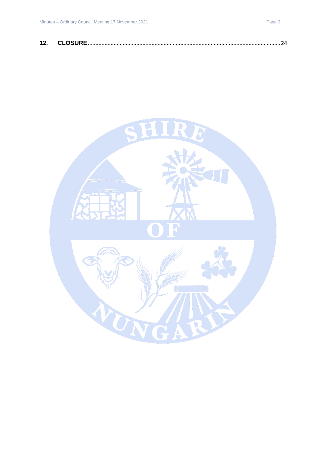| 12 | $\mathsf{A}$ $\mathsf{A}$ $\mathsf{A}$ $\mathsf{B}$ $\mathsf{B}$ $\mathsf{B}$ |  |  |  |
|----|-------------------------------------------------------------------------------|--|--|--|
|----|-------------------------------------------------------------------------------|--|--|--|

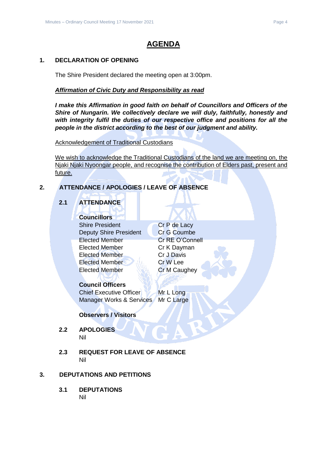# **AGENDA**

# <span id="page-3-0"></span>**1. DECLARATION OF OPENING**

The Shire President declared the meeting open at 3:00pm.

# *Affirmation of Civic Duty and Responsibility as read*

*I make this Affirmation in good faith on behalf of Councillors and Officers of the Shire of Nungarin. We collectively declare we will duly, faithfully, honestly and with integrity fulfil the duties of our respective office and positions for all the people in the district according to the best of our judgment and ability.*

Acknowledgement of Traditional Custodians

We wish to acknowledge the Traditional Custodians of the land we are meeting on, the Njaki Njaki Nyoongar people, and recognise the contribution of Elders past, present and future.

# <span id="page-3-2"></span><span id="page-3-1"></span>**2. ATTENDANCE / APOLOGIES / LEAVE OF ABSENCE**

# **2.1 ATTENDANCE**

# **Councillors**

Shire President Cr P de Lacy Deputy Shire President Cr G Coumbe Elected Member Cr RE O'Connell Elected Member Cr K Dayman Elected Member Cr J Davis Elected Member Cr W Lee Elected Member **Cr M Caughey** 

# **Council Officers**

Chief Executive Officer Mr L Long Manager Works & Services Mr C Large

# **Observers / Visitors**

- <span id="page-3-3"></span>**2.2 APOLOGIES** Nil
- <span id="page-3-4"></span>**2.3 REQUEST FOR LEAVE OF ABSENCE** Nil

# <span id="page-3-6"></span><span id="page-3-5"></span>**3. DEPUTATIONS AND PETITIONS**

**3.1 DEPUTATIONS** Nil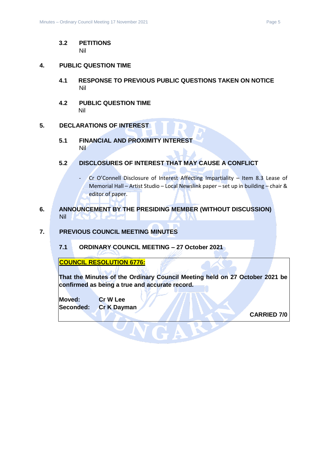#### <span id="page-4-0"></span>**3.2 PETITIONS** Nil

#### <span id="page-4-2"></span><span id="page-4-1"></span>**4. PUBLIC QUESTION TIME**

- **4.1 RESPONSE TO PREVIOUS PUBLIC QUESTIONS TAKEN ON NOTICE** Nil
- <span id="page-4-3"></span>**4.2 PUBLIC QUESTION TIME** Nil

#### <span id="page-4-5"></span><span id="page-4-4"></span>**5. DECLARATIONS OF INTEREST**

- **5.1 FINANCIAL AND PROXIMITY INTEREST** Nil
- <span id="page-4-6"></span>**5.2 DISCLOSURES OF INTEREST THAT MAY CAUSE A CONFLICT**
	- Cr O'Connell Disclosure of Interest Affecting Impartiality Item 8.3 Lease of Memorial Hall – Artist Studio – Local Newslink paper – set up in building – chair & editor of paper.
- <span id="page-4-7"></span>**6. ANNOUNCEMENT BY THE PRESIDING MEMBER (WITHOUT DISCUSSION)** Nil
- <span id="page-4-9"></span><span id="page-4-8"></span>**7. PREVIOUS COUNCIL MEETING MINUTES**
	- **7.1 ORDINARY COUNCIL MEETING – 27 October 2021**

**COUNCIL RESOLUTION 6776:**

**That the Minutes of the Ordinary Council Meeting held on 27 October 2021 be confirmed as being a true and accurate record.**

**Moved: Cr W Lee Seconded: Cr K Dayman**

**CARRIED 7/0**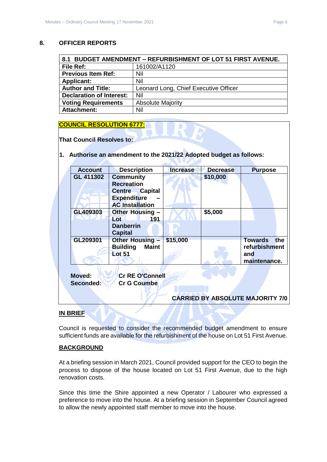### <span id="page-5-0"></span>**8. OFFICER REPORTS**

<span id="page-5-1"></span>

| <b>BUDGET AMENDMENT - REFURBISHMENT OF LOT 51 FIRST AVENUE.</b><br>8.1 |                                       |  |
|------------------------------------------------------------------------|---------------------------------------|--|
| <b>File Ref:</b>                                                       | 161002/A1120                          |  |
| <b>Previous Item Ref:</b>                                              | Nil                                   |  |
| <b>Applicant:</b>                                                      | Nil                                   |  |
| <b>Author and Title:</b>                                               | Leonard Long, Chief Executive Officer |  |
| <b>Declaration of Interest:</b>                                        | Nil                                   |  |
| <b>Voting Requirements</b>                                             | <b>Absolute Majority</b>              |  |
| <b>Attachment:</b>                                                     | Nil                                   |  |

#### **COUNCIL RESOLUTION 6777:**

**That Council Resolves to:**

#### **1. Authorise an amendment to the 2021/22 Adopted budget as follows:**

| <b>Account</b> | <b>Description</b>              | <b>Increase</b> | <b>Decrease</b> | <b>Purpose</b>                          |
|----------------|---------------------------------|-----------------|-----------------|-----------------------------------------|
| GL 411302      | <b>Community</b>                |                 | \$10,000        |                                         |
|                | <b>Recreation</b>               |                 |                 |                                         |
|                | <b>Centre Capital</b>           |                 |                 |                                         |
|                | <b>Expenditure</b>              |                 |                 |                                         |
|                | <b>AC Installation</b>          |                 |                 |                                         |
| GL409303       | Other Housing -                 |                 | \$5,000         |                                         |
|                | 191<br>Lot                      |                 |                 |                                         |
|                | <b>Danberrin</b>                |                 |                 |                                         |
|                | <b>Capital</b>                  |                 |                 |                                         |
| GL209301       | Other Housing -                 | \$15,000        |                 | <b>Towards</b><br>the                   |
|                | <b>Maint</b><br><b>Building</b> |                 |                 | refurbishment                           |
|                | <b>Lot 51</b>                   |                 |                 | and                                     |
|                |                                 |                 |                 | maintenance.                            |
|                |                                 |                 |                 |                                         |
| <b>Moved:</b>  | <b>Cr RE O'Connell</b>          |                 |                 |                                         |
| Seconded:      | <b>Cr G Coumbe</b>              |                 |                 |                                         |
|                |                                 |                 |                 |                                         |
|                |                                 |                 |                 | <b>CARRIED BY ABSOLUTE MAJORITY 7/0</b> |
|                |                                 |                 |                 |                                         |

# **IN BRIEF**

Council is requested to consider the recommended budget amendment to ensure sufficient funds are available for the refurbishment of the house on Lot 51 First Avenue.

#### **BACKGROUND**

At a briefing session in March 2021, Council provided support for the CEO to begin the process to dispose of the house located on Lot 51 First Avenue, due to the high renovation costs.

Since this time the Shire appointed a new Operator / Labourer who expressed a preference to move into the house. At a briefing session in September Council agreed to allow the newly appointed staff member to move into the house.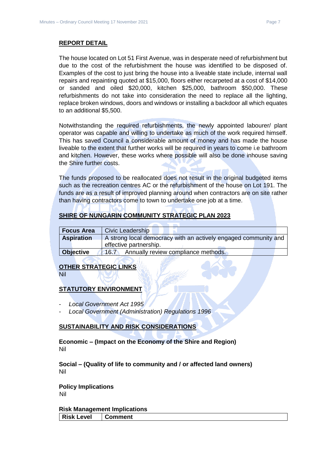The house located on Lot 51 First Avenue, was in desperate need of refurbishment but due to the cost of the refurbishment the house was identified to be disposed of. Examples of the cost to just bring the house into a liveable state include, internal wall repairs and repainting quoted at \$15,000, floors either recarpeted at a cost of \$14,000 or sanded and oiled \$20,000, kitchen \$25,000, bathroom \$50,000. These refurbishments do not take into consideration the need to replace all the lighting, replace broken windows, doors and windows or installing a backdoor all which equates to an additional \$5,500.

Notwithstanding the required refurbishments, the newly appointed labourer/ plant operator was capable and willing to undertake as much of the work required himself. This has saved Council a considerable amount of money and has made the house liveable to the extent that further works will be required in years to come i.e bathroom and kitchen. However, these works where possible will also be done inhouse saving the Shire further costs.

The funds proposed to be reallocated does not result in the original budgeted items such as the recreation centres AC or the refurbishment of the house on Lot 191. The funds are as a result of improved planning around when contractors are on site rather than having contractors come to town to undertake one job at a time.

# **SHIRE OF NUNGARIN COMMUNITY STRATEGIC PLAN 2023**

| <b>Focus Area</b> | <b>Civic Leadership</b>                                                                   |
|-------------------|-------------------------------------------------------------------------------------------|
| <b>Aspiration</b> | A strong local democracy with an actively engaged community and<br>effective partnership. |
| <b>Objective</b>  | Annually review compliance methods.<br>16.7                                               |

# **OTHER STRATEGIC LINKS**

Nil

# **STATUTORY ENVIRONMENT**

- *Local Government Act 1995*
- *Local Government (Administration) Regulations 1996*

# **SUSTAINABILITY AND RISK CONSIDERATIONS**

**Economic – (Impact on the Economy of the Shire and Region)** Nil

**Social – (Quality of life to community and / or affected land owners)** Nil

**Policy Implications** Nil

**Risk Management Implications Risk Level Comment**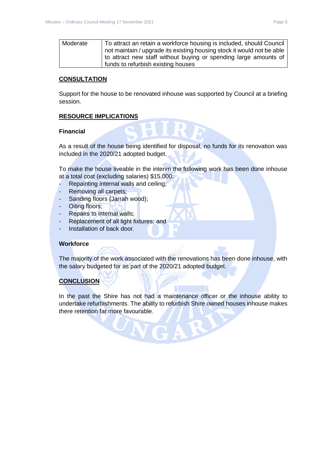| Moderate | To attract an retain a workforce housing is included, should Council   |
|----------|------------------------------------------------------------------------|
|          | not maintain / upgrade its existing housing stock it would not be able |
|          | to attract new staff without buying or spending large amounts of       |
|          | funds to refurbish existing houses                                     |

# **CONSULTATION**

Support for the house to be renovated inhouse was supported by Council at a briefing session.

#### **RESOURCE IMPLICATIONS**

#### **Financial**

As a result of the house being identified for disposal, no funds for its renovation was included in the 2020/21 adopted budget.

To make the house liveable in the interim the following work has been done inhouse at a total cost (excluding salaries) \$15,000:

- Repainting internal walls and ceiling;
- Removing all carpets;
- Sanding floors (Jarrah wood);
- Oiling floors;
- Repairs to internal walls;
- Replacement of all light fixtures; and
- Installation of back door.

# **Workforce**

The majority of the work associated with the renovations has been done inhouse, with the salary budgeted for as part of the 2020/21 adopted budget.

# **CONCLUSION**

In the past the Shire has not had a maintenance officer or the inhouse ability to undertake refurbishments. The ability to refurbish Shire owned houses inhouse makes there retention far more favourable.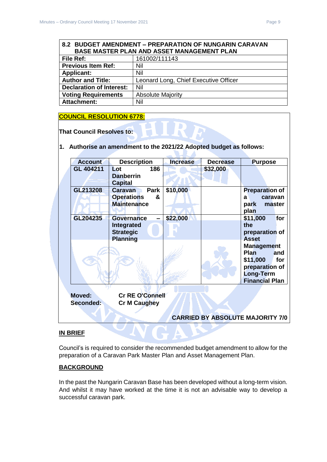<span id="page-8-0"></span>

|                                 | 8.2 BUDGET AMENDMENT - PREPARATION OF NUNGARIN CARAVAN |  |  |  |  |
|---------------------------------|--------------------------------------------------------|--|--|--|--|
|                                 | BASE MASTER PLAN AND ASSET MANAGEMENT PLAN             |  |  |  |  |
| <b>File Ref:</b>                | 161002/111143                                          |  |  |  |  |
| <b>Previous Item Ref:</b>       | Nil                                                    |  |  |  |  |
| <b>Applicant:</b>               | Nil                                                    |  |  |  |  |
| <b>Author and Title:</b>        | Leonard Long, Chief Executive Officer                  |  |  |  |  |
| <b>Declaration of Interest:</b> | Nil                                                    |  |  |  |  |
| <b>Voting Requirements</b>      | <b>Absolute Majority</b>                               |  |  |  |  |
| <b>Attachment:</b>              | Nil                                                    |  |  |  |  |

# **COUNCIL RESOLUTION 6778:**

**That Council Resolves to:**

# **1. Authorise an amendment to the 2021/22 Adopted budget as follows:**

| <b>Account</b>             | <b>Description</b>                                                     | <b>Increase</b> | <b>Decrease</b>                         | <b>Purpose</b>                                                                                              |            |
|----------------------------|------------------------------------------------------------------------|-----------------|-----------------------------------------|-------------------------------------------------------------------------------------------------------------|------------|
| GL 404211                  | 186<br>Lot<br><b>Danberrin</b><br><b>Capital</b>                       |                 | \$32,000                                |                                                                                                             |            |
| GL213208                   | Park<br><b>Caravan</b><br><b>Operations</b><br>&<br><b>Maintenance</b> | \$10,000        |                                         | <b>Preparation of</b><br>caravan<br>a<br>park<br>master<br>plan                                             |            |
| GL204235                   | <b>Governance</b><br>Integrated<br><b>Strategic</b><br><b>Planning</b> | \$22,000        |                                         | \$11,000<br>the<br>preparation of<br><b>Asset</b>                                                           | for        |
|                            |                                                                        |                 |                                         | <b>Management</b><br><b>Plan</b><br>\$11,000<br>preparation of<br><b>Long-Term</b><br><b>Financial Plan</b> | and<br>for |
| <b>Moved:</b><br>Seconded: | <b>Cr RE O'Connell</b><br><b>Cr M Caughey</b>                          |                 |                                         |                                                                                                             |            |
|                            |                                                                        |                 | <b>CARRIED BY ABSOLUTE MAJORITY 7/0</b> |                                                                                                             |            |
|                            |                                                                        |                 |                                         |                                                                                                             |            |

# **IN BRIEF**

Council's is required to consider the recommended budget amendment to allow for the preparation of a Caravan Park Master Plan and Asset Management Plan.

#### **BACKGROUND**

In the past the Nungarin Caravan Base has been developed without a long-term vision. And whilst it may have worked at the time it is not an advisable way to develop a successful caravan park.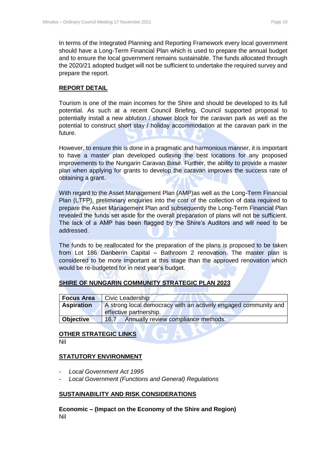In terms of the Integrated Planning and Reporting Framework every local government should have a Long-Term Financial Plan which is used to prepare the annual budget and to ensure the local government remains sustainable. The funds allocated through the 2020/21 adopted budget will not be sufficient to undertake the required survey and prepare the report.

#### **REPORT DETAIL**

Tourism is one of the main incomes for the Shire and should be developed to its full potential. As such at a recent Council Briefing, Council supported proposal to potentially install a new ablution / shower block for the caravan park as well as the potential to construct short stay / holiday accommodation at the caravan park in the future.

However, to ensure this is done in a pragmatic and harmonious manner, it is important to have a master plan developed outlining the best locations for any proposed improvements to the Nungarin Caravan Base. Further, the ability to provide a master plan when applying for grants to develop the caravan improves the success rate of obtaining a grant.

With regard to the Asset Management Plan (AMP)as well as the Long-Term Financial Plan (LTFP), preliminary enquiries into the cost of the collection of data required to prepare the Asset Management Plan and subsequently the Long-Term Financial Plan revealed the funds set aside for the overall preparation of plans will not be sufficient. The lack of a AMP has been flagged by the Shire's Auditors and will need to be addressed.

The funds to be reallocated for the preparation of the plans is proposed to be taken from Lot 186 Danberrin Capital – Bathroom 2 renovation. The master plan is considered to be more important at this stage than the approved renovation which would be re-budgeted for in next year's budget.

# **SHIRE OF NUNGARIN COMMUNITY STRATEGIC PLAN 2023**

| <b>Focus Area</b> | Civic Leadership                                                |  |  |
|-------------------|-----------------------------------------------------------------|--|--|
| <b>Aspiration</b> | A strong local democracy with an actively engaged community and |  |  |
|                   | effective partnership.                                          |  |  |
| <b>Objective</b>  | Annually review compliance methods.<br>16.7                     |  |  |

# **OTHER STRATEGIC LINKS**

Nil

# **STATUTORY ENVIRONMENT**

- *Local Government Act 1995*
- *Local Government (Functions and General) Regulations*

#### **SUSTAINABILITY AND RISK CONSIDERATIONS**

**Economic – (Impact on the Economy of the Shire and Region)** Nil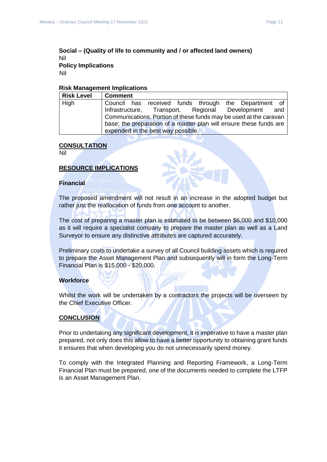# **Social – (Quality of life to community and / or affected land owners)** Nil **Policy Implications**

Nil

#### **Risk Management Implications**

| <b>Risk Level</b> | ∣ Comment                                                          |
|-------------------|--------------------------------------------------------------------|
| High              | Council has received funds through the Department of               |
|                   | Infrastructure, Transport, Regional Development and                |
|                   | Communications. Portion of these funds may be used at the caravan  |
|                   | base; the preparation of a master plan will ensure these funds are |
|                   | expended in the best way possible.                                 |

#### **CONSULTATION**

Nil

#### **RESOURCE IMPLICATIONS**

#### **Financial**

The proposed amendment will not result in an increase in the adopted budget but rather just the reallocation of funds from one account to another.

The cost of preparing a master plan is estimated to be between \$6,000 and \$10,000 as it will require a specialist company to prepare the master plan as well as a Land Surveyor to ensure any distinctive attributes are captured accurately.

Preliminary costs to undertake a survey of all Council building assets which is required to prepare the Asset Management Plan and subsequently will in form the Long-Term Financial Plan is \$15,000 - \$20,000.

#### **Workforce**

Whilst the work will be undertaken by a contractors the projects will be overseen by the Chief Executive Officer.

#### **CONCLUSION**

Prior to undertaking any significant development, it is imperative to have a master plan prepared, not only does this allow to have a better opportunity to obtaining grant funds it ensures that when developing you do not unnecessarily spend money.

To comply with the Integrated Planning and Reporting Framework, a Long-Term Financial Plan must be prepared, one of the documents needed to complete the LTFP is an Asset Management Plan.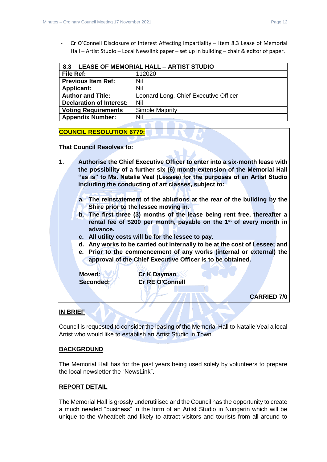- Cr O'Connell Disclosure of Interest Affecting Impartiality – Item 8.3 Lease of Memorial Hall – Artist Studio – Local Newslink paper – set up in building – chair & editor of paper.

<span id="page-11-0"></span>

| 8.3                             | <b>LEASE OF MEMORIAL HALL - ARTIST STUDIO</b> |  |  |  |
|---------------------------------|-----------------------------------------------|--|--|--|
| File Ref:                       | 112020                                        |  |  |  |
| <b>Previous Item Ref:</b>       | Nil                                           |  |  |  |
| <b>Applicant:</b>               | Nil                                           |  |  |  |
| <b>Author and Title:</b>        | Leonard Long, Chief Executive Officer         |  |  |  |
| <b>Declaration of Interest:</b> | Nil                                           |  |  |  |
| <b>Voting Requirements</b>      | <b>Simple Majority</b>                        |  |  |  |
| <b>Appendix Number:</b>         | Nil                                           |  |  |  |

# **COUNCIL RESOLUTION 6779:**

**That Council Resolves to:**

**1. Authorise the Chief Executive Officer to enter into a six-month lease with the possibility of a further six (6) month extension of the Memorial Hall "as is" to Ms. Natalie Veal (Lessee) for the purposes of an Artist Studio including the conducting of art classes, subject to:**

- **a. The reinstatement of the ablutions at the rear of the building by the Shire prior to the lessee moving in.**
- **b. The first three (3) months of the lease being rent free, thereafter a rental fee of \$200 per month, payable on the 1st of every month in advance.**
- **c. All utility costs will be for the lessee to pay.**
- **d. Any works to be carried out internally to be at the cost of Lessee; and**
- **e. Prior to the commencement of any works (internal or external) the approval of the Chief Executive Officer is to be obtained.**

**Moved: Cr K Dayman Seconded: Cr RE O'Connell**

**CARRIED 7/0**

# **IN BRIEF**

Council is requested to consider the leasing of the Memorial Hall to Natalie Veal a local Artist who would like to establish an Artist Studio in Town.

# **BACKGROUND**

The Memorial Hall has for the past years being used solely by volunteers to prepare the local newsletter the "NewsLink".

# **REPORT DETAIL**

The Memorial Hall is grossly underutilised and the Council has the opportunity to create a much needed "business" in the form of an Artist Studio in Nungarin which will be unique to the Wheatbelt and likely to attract visitors and tourists from all around to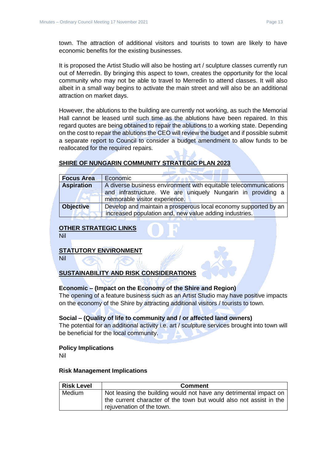town. The attraction of additional visitors and tourists to town are likely to have economic benefits for the existing businesses.

It is proposed the Artist Studio will also be hosting art / sculpture classes currently run out of Merredin. By bringing this aspect to town, creates the opportunity for the local community who may not be able to travel to Merredin to attend classes. It will also albeit in a small way begins to activate the main street and will also be an additional attraction on market days.

However, the ablutions to the building are currently not working, as such the Memorial Hall cannot be leased until such time as the ablutions have been repaired. In this regard quotes are being obtained to repair the ablutions to a working state. Depending on the cost to repair the ablutions the CEO will review the budget and if possible submit a separate report to Council to consider a budget amendment to allow funds to be reallocated for the required repairs.

#### **SHIRE OF NUNGARIN COMMUNITY STRATEGIC PLAN 2023**

| <b>Focus Area</b> | Economic                                                         |
|-------------------|------------------------------------------------------------------|
| <b>Aspiration</b> | A diverse business environment with equitable telecommunications |
|                   | and infrastructure. We are uniquely Nungarin in providing a      |
|                   | memorable visitor experience.                                    |
| <b>Objective</b>  | Develop and maintain a prosperous local economy supported by an  |
|                   | increased population and, new value adding industries.           |

#### **OTHER STRATEGIC LINKS**

Nil

#### **STATUTORY ENVIRONMENT**

Nil

# **SUSTAINABILITY AND RISK CONSIDERATIONS**

#### **Economic – (Impact on the Economy of the Shire and Region)**

The opening of a feature business such as an Artist Studio may have positive impacts on the economy of the Shire by attracting additional visitors / tourists to town.

#### **Social – (Quality of life to community and / or affected land owners)**

The potential for an additional activity i.e. art / sculpture services brought into town will be beneficial for the local community.

#### **Policy Implications**

Nil

#### **Risk Management Implications**

| <b>Risk Level</b> | <b>Comment</b>                                                                                                                                                       |
|-------------------|----------------------------------------------------------------------------------------------------------------------------------------------------------------------|
| Medium            | Not leasing the building would not have any detrimental impact on<br>the current character of the town but would also not assist in the<br>rejuvenation of the town. |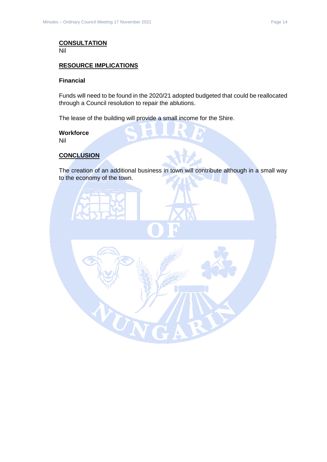# **CONSULTATION**

Nil

# **RESOURCE IMPLICATIONS**

#### **Financial**

Funds will need to be found in the 2020/21 adopted budgeted that could be reallocated through a Council resolution to repair the ablutions.

The lease of the building will provide a small income for the Shire.

#### **Workforce**

Nil

#### **CONCLUSION**

The creation of an additional business in town will contribute although in a small way to the economy of the town.

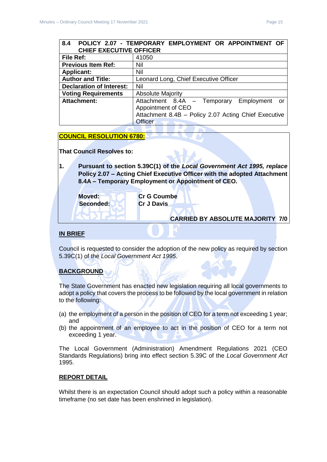# <span id="page-14-0"></span>**8.4 POLICY 2.07 - TEMPORARY EMPLOYMENT OR APPOINTMENT OF CHIEF EXECUTIVE OFFICER File Ref:** 41050 **Previous Item Ref:** Nil **Applicant:** Nil **Author and Title:** Leonard Long, Chief Executive Officer **Declaration of Interest:** Nil **Voting Requirements** | Absolute Majority

#### **Attachment:** Attachment 8.4A – Temporary Employment or Appointment of CEO Attachment 8.4B – Policy 2.07 Acting Chief Executive **Officer**

# **COUNCIL RESOLUTION 6780:**

**That Council Resolves to:**

**1. Pursuant to section 5.39C(1) of the** *Local Government Act 1995, replace*  **Policy 2.07 – Acting Chief Executive Officer with the adopted Attachment 8.4A – Temporary Employment or Appointment of CEO.**

**Seconded: Cr J Davis**

**Moved: Cr G Coumbe**

#### **CARRIED BY ABSOLUTE MAJORITY 7/0**

### **IN BRIEF**

Council is requested to consider the adoption of the new policy as required by section 5.39C(1) of the *Local Government Act 1995*.

# **BACKGROUND**

The State Government has enacted new legislation requiring all local governments to adopt a policy that covers the process to be followed by the local government in relation to the following:

- (a) the employment of a person in the position of CEO for a term not exceeding 1 year; and
- (b) the appointment of an employee to act in the position of CEO for a term not exceeding 1 year.

The Local Government (Administration) Amendment Regulations 2021 (CEO Standards Regulations) bring into effect section 5.39C of the *Local Government Act* 1995.

#### **REPORT DETAIL**

Whilst there is an expectation Council should adopt such a policy within a reasonable timeframe (no set date has been enshrined in legislation).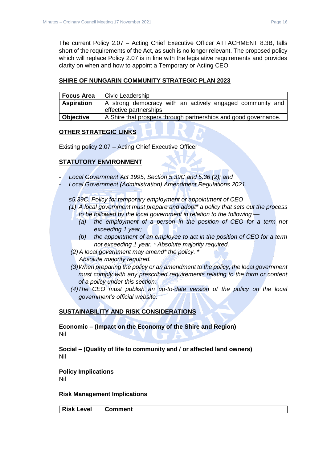The current Policy 2.07 – Acting Chief Executive Officer ATTACHMENT 8.3B, falls short of the requirements of the Act, as such is no longer relevant. The proposed policy which will replace Policy 2.07 is in line with the legislative requirements and provides clarity on when and how to appoint a Temporary or Acting CEO.

### **SHIRE OF NUNGARIN COMMUNITY STRATEGIC PLAN 2023**

| <b>Focus Area</b> | Civic Leadership                                                                     |
|-------------------|--------------------------------------------------------------------------------------|
| <b>Aspiration</b> | A strong democracy with an actively engaged community and<br>effective partnerships. |
| <b>Objective</b>  | A Shire that prospers through partnerships and good governance.                      |

# **OTHER STRATEGIC LINKS**

Existing policy 2.07 – Acting Chief Executive Officer

# **STATUTORY ENVIRONMENT**

- *Local Government Act 1995, Section 5.39C and 5.36 (2); and*
- *Local Government (Administration) Amendment Regulations 2021.*

*s5.39C. Policy for temporary employment or appointment of CEO* 

- *(1) A local government must prepare and adopt\* a policy that sets out the process to be followed by the local government in relation to the following —*
	- *(a) the employment of a person in the position of CEO for a term not exceeding 1 year;*
	- *(b) the appointment of an employee to act in the position of CEO for a term not exceeding 1 year. \* Absolute majority required.*
- *(2)A local government may amend\* the policy. \* Absolute majority required.*
- *(3)When preparing the policy or an amendment to the policy, the local government must comply with any prescribed requirements relating to the form or content of a policy under this section.*
- *(4)The CEO must publish an up-to-date version of the policy on the local government's official website.*

# **SUSTAINABILITY AND RISK CONSIDERATIONS**

**Economic – (Impact on the Economy of the Shire and Region)** Nil

**Social – (Quality of life to community and / or affected land owners)** Nil

**Policy Implications** Nil

# **Risk Management Implications**

**Risk Level Comment**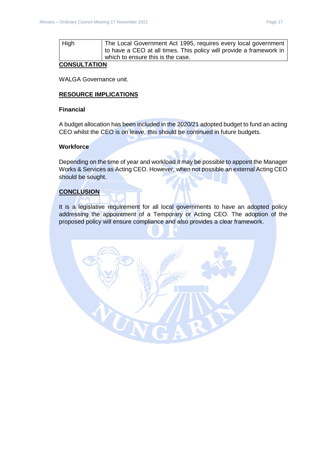| High | The Local Government Act 1995, requires every local government  <br>  to have a CEO at all times. This policy will provide a framework in |
|------|-------------------------------------------------------------------------------------------------------------------------------------------|
|      | which to ensure this is the case.                                                                                                         |

# **CONSULTATION**

WALGA Governance unit.

# **RESOURCE IMPLICATIONS**

#### **Financial**

A budget allocation has been included in the 2020/21 adopted budget to fund an acting CEO whilst the CEO is on leave, this should be continued in future budgets.

#### **Workforce**

Depending on the time of year and workload it may be possible to appoint the Manager Works & Services as Acting CEO. However, when not possible an external Acting CEO should be sought.

#### **CONCLUSION**

It is a legislative requirement for all local governments to have an adopted policy addressing the appointment of a Temporary or Acting CEO. The adoption of the proposed policy will ensure compliance and also provides a clear framework.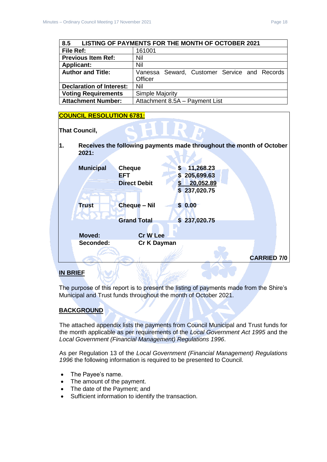<span id="page-17-0"></span>

| LISTING OF PAYMENTS FOR THE MONTH OF OCTOBER 2021<br>8.5 |                                              |  |
|----------------------------------------------------------|----------------------------------------------|--|
| File Ref:                                                | 161001                                       |  |
| <b>Previous Item Ref:</b>                                | Nil                                          |  |
| <b>Applicant:</b>                                        | Nil                                          |  |
| <b>Author and Title:</b>                                 | Vanessa Seward, Customer Service and Records |  |
|                                                          | Officer                                      |  |
| <b>Declaration of Interest:</b>                          | Nil                                          |  |
| <b>Voting Requirements</b>                               | Simple Majority                              |  |
| <b>Attachment Number:</b>                                | Attachment 8.5A - Payment List               |  |

#### **COUNCIL RESOLUTION 6781:**

**That Council,** 

**1. Receives the following payments made throughout the month of October 2021:**

|                  |                     |                           | <b>CARRIED 7/0</b> |
|------------------|---------------------|---------------------------|--------------------|
| Seconded:        | Cr K Dayman         |                           |                    |
| <b>Moved:</b>    | <b>Cr W Lee</b>     |                           |                    |
|                  | <b>Grand Total</b>  | \$237,020.75              |                    |
| <b>Trust</b>     | <b>Cheque - Nil</b> | \$0.00                    |                    |
|                  | <b>Direct Debit</b> | 20,052.89<br>\$237,020.75 |                    |
|                  | <b>EFT</b>          | 205,699.63<br>S.          |                    |
| <b>Municipal</b> | <b>Cheque</b>       | 11,268.23<br>S            |                    |

# **IN BRIEF**

The purpose of this report is to present the listing of payments made from the Shire's Municipal and Trust funds throughout the month of October 2021.

# **BACKGROUND**

The attached appendix lists the payments from Council Municipal and Trust funds for the month applicable as per requirements of the *Local Government Act 1995* and the *Local Government (Financial Management) Regulations 1996*.

As per Regulation 13 of the *Local Government (Financial Management) Regulations 1996* the following information is required to be presented to Council.

- The Payee's name.
- The amount of the payment.
- The date of the Payment; and
- Sufficient information to identify the transaction.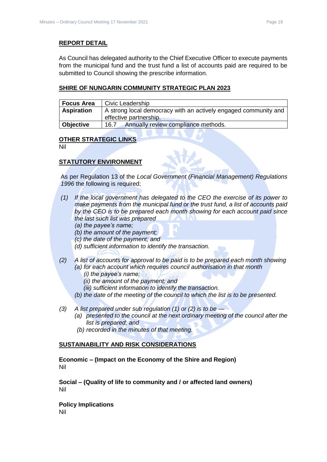### **REPORT DETAIL**

As Council has delegated authority to the Chief Executive Officer to execute payments from the municipal fund and the trust fund a list of accounts paid are required to be submitted to Council showing the prescribe information.

### **SHIRE OF NUNGARIN COMMUNITY STRATEGIC PLAN 2023**

| <b>Focus Area</b> | Civic Leadership                                                                          |
|-------------------|-------------------------------------------------------------------------------------------|
| <b>Aspiration</b> | A strong local democracy with an actively engaged community and<br>effective partnership. |
| Objective         | Annually review compliance methods.<br>16.7                                               |

#### **OTHER STRATEGIC LINKS**

Nil

# **STATUTORY ENVIRONMENT**

As per Regulation 13 of the *Local Government (Financial Management) Regulations 1996* the following is required;

- *(1) If the local government has delegated to the CEO the exercise of its power to make payments from the municipal fund or the trust fund, a list of accounts paid by the CEO is to be prepared each month showing for each account paid since the last such list was prepared* 
	- *(a) the payee's name;*
	- *(b) the amount of the payment;*
	- *(c) the date of the payment; and*
	- *(d) sufficient information to identify the transaction.*
- *(2) A list of accounts for approval to be paid is to be prepared each month showing (a) for each account which requires council authorisation in that month* 
	- *(i) the payee's name;*
	- *(ii) the amount of the payment; and*
	- *(iii) sufficient information to identify the transaction.*
	- *(b) the date of the meeting of the council to which the list is to be presented.*
- *(3) A list prepared under sub regulation (1) or (2) is to be —*
	- *(a) presented to the council at the next ordinary meeting of the council after the list is prepared; and*
	- *(b) recorded in the minutes of that meeting.*

#### **SUSTAINABILITY AND RISK CONSIDERATIONS**

**Economic – (Impact on the Economy of the Shire and Region)** Nil

**Social – (Quality of life to community and / or affected land owners)** Nil

**Policy Implications** Nil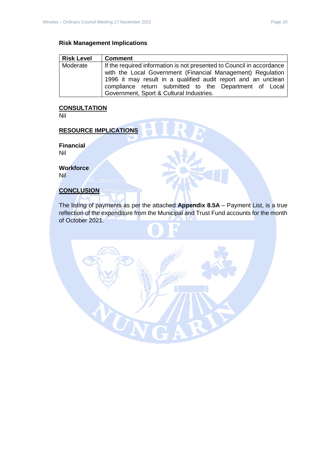# **Risk Management Implications**

| <b>Risk Level</b> | <b>Comment</b>                                                        |
|-------------------|-----------------------------------------------------------------------|
| Moderate          | If the required information is not presented to Council in accordance |
|                   | with the Local Government (Financial Management) Regulation           |
|                   | 1996 it may result in a qualified audit report and an unclean         |
|                   | compliance return submitted to the Department of Local                |
|                   | Government, Sport & Cultural Industries.                              |

# **CONSULTATION**

Nil

# **RESOURCE IMPLICATIONS**

**Financial** Nil

**Workforce**

Nil

# **CONCLUSION**

The listing of payments as per the attached **Appendix 8.5A** – Payment List, is a true reflection of the expenditure from the Municipal and Trust Fund accounts for the month of October 2021.

UN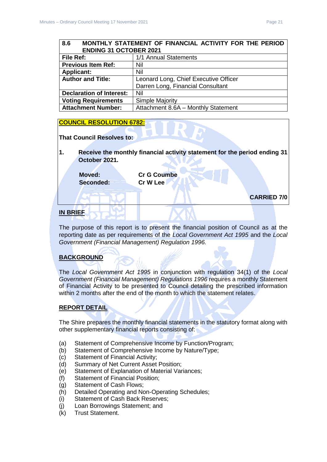# <span id="page-20-0"></span>**8.6 MONTHLY STATEMENT OF FINANCIAL ACTIVITY FOR THE PERIOD ENDING 31 OCTOBER 2021**

| File Ref:                       | 1/1 Annual Statements                 |
|---------------------------------|---------------------------------------|
| <b>Previous Item Ref:</b>       | Nil                                   |
| <b>Applicant:</b>               | Nil                                   |
| <b>Author and Title:</b>        | Leonard Long, Chief Executive Officer |
|                                 | Darren Long, Financial Consultant     |
| <b>Declaration of Interest:</b> | Nil                                   |
| <b>Voting Requirements</b>      | <b>Simple Majority</b>                |
| <b>Attachment Number:</b>       | Attachment 8.6A - Monthly Statement   |

# **COUNCIL RESOLUTION 6782:**

#### **That Council Resolves to:**

**1. Receive the monthly financial activity statement for the period ending 31 October 2021.**

**Moved: Cr G Coumbe Seconded: Cr W Lee**

**CARRIED 7/0**

# **IN BRIEF**

The purpose of this report is to present the financial position of Council as at the reporting date as per requirements of the *Local Government Act 1995* and the *Local Government (Financial Management) Regulation 1996.*

# **BACKGROUND**

The *Local Government Act 1995* in conjunction with regulation 34(1) of the *Local Government (Financial Management) Regulations 1996* requires a monthly Statement of Financial Activity to be presented to Council detailing the prescribed information within 2 months after the end of the month to which the statement relates.

# **REPORT DETAIL**

The Shire prepares the monthly financial statements in the statutory format along with other supplementary financial reports consisting of:

- (a) Statement of Comprehensive Income by Function/Program;
- (b) Statement of Comprehensive Income by Nature/Type;
- (c) Statement of Financial Activity;
- (d) Summary of Net Current Asset Position;
- (e) Statement of Explanation of Material Variances;
- (f) Statement of Financial Position;
- (g) Statement of Cash Flows;
- (h) Detailed Operating and Non-Operating Schedules;
- (i) Statement of Cash Back Reserves;
- (j) Loan Borrowings Statement; and
- (k) Trust Statement.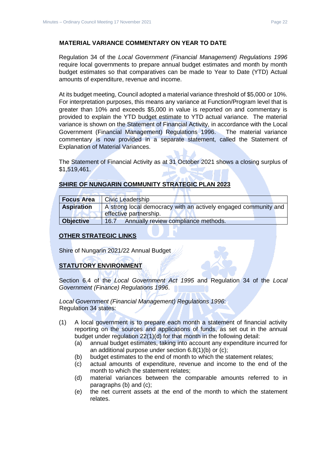Regulation 34 of the *Local Government (Financial Management) Regulations 1996*  require local governments to prepare annual budget estimates and month by month budget estimates so that comparatives can be made to Year to Date (YTD) Actual amounts of expenditure, revenue and income.

At its budget meeting, Council adopted a material variance threshold of \$5,000 or 10%. For interpretation purposes, this means any variance at Function/Program level that is greater than 10% and exceeds \$5,000 in value is reported on and commentary is provided to explain the YTD budget estimate to YTD actual variance. The material variance is shown on the Statement of Financial Activity, in accordance with the Local Government (Financial Management) Regulations 1996. The material variance commentary is now provided in a separate statement, called the Statement of Explanation of Material Variances.

The Statement of Financial Activity as at 31 October 2021 shows a closing surplus of \$1,519,461.

|  | SHIRE OF NUNGARIN COMMUNITY STRATEGIC PLAN 2023 |  |
|--|-------------------------------------------------|--|
|  |                                                 |  |

| <b>Focus Area</b> | Civic Leadership                                                                          |
|-------------------|-------------------------------------------------------------------------------------------|
| <b>Aspiration</b> | A strong local democracy with an actively engaged community and<br>effective partnership. |
| <b>Objective</b>  | Annually review compliance methods.<br>16.7                                               |

# **OTHER STRATEGIC LINKS**

Shire of Nungarin 2021/22 Annual Budget

# **STATUTORY ENVIRONMENT**

Section 6.4 of the *Local Government Act 1995* and Regulation 34 of the *Local Government (Finance) Regulations 1996*.

*Local Government (Financial Management) Regulations 1996*: Regulation 34 states:

- (1) A local government is to prepare each month a statement of financial activity reporting on the sources and applications of funds, as set out in the annual budget under regulation 22(1)(d) for that month in the following detail:
	- (a) annual budget estimates, taking into account any expenditure incurred for an additional purpose under section 6.8(1)(b) or (c);
	- (b) budget estimates to the end of month to which the statement relates;
	- (c) actual amounts of expenditure, revenue and income to the end of the month to which the statement relates;
	- (d) material variances between the comparable amounts referred to in paragraphs (b) and (c);
	- (e) the net current assets at the end of the month to which the statement relates.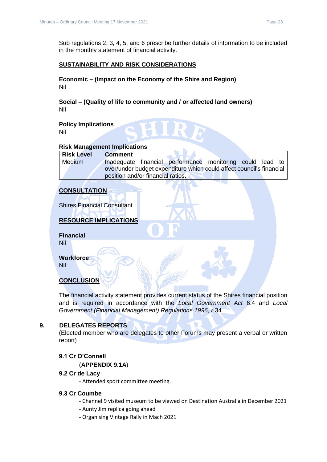Sub regulations 2, 3, 4, 5, and 6 prescribe further details of information to be included in the monthly statement of financial activity.

# **SUSTAINABILITY AND RISK CONSIDERATIONS**

**Economic – (Impact on the Economy of the Shire and Region)** Nil

**Social – (Quality of life to community and / or affected land owners)** Nil

**Policy Implications** Nil

#### **Risk Management Implications**

| <b>Risk Level</b> | <b>Comment</b>                                                       |  |  |
|-------------------|----------------------------------------------------------------------|--|--|
| <b>Medium</b>     | Inadequate financial performance monitoring could lead to            |  |  |
|                   | over/under budget expenditure which could affect council's financial |  |  |
|                   | position and/or financial ratios.                                    |  |  |

# **CONSULTATION**

Shires Financial Consultant

# **RESOURCE IMPLICATIONS**

**Financial** Nil

**Workforce**

Nil

# **CONCLUSION**

The financial activity statement provides current status of the Shires financial position and is required in accordance with the *Local Government Act* 6.4 and *Local Government (Financial Management) Regulations 1996, r.*34

# <span id="page-22-0"></span>**9. DELEGATES REPORTS**

(Elected member who are delegates to other Forums may present a verbal or written report)

# <span id="page-22-2"></span><span id="page-22-1"></span>**9.1 Cr O'Connell**

(**APPENDIX 9.1A**)

# <span id="page-22-3"></span>**9.2 Cr de Lacy**

- Attended sport committee meeting.

# <span id="page-22-4"></span>**9.3 Cr Coumbe**

- Channel 9 visited museum to be viewed on Destination Australia in December 2021
- Aunty Jim replica going ahead
- Organising Vintage Rally in Mach 2021